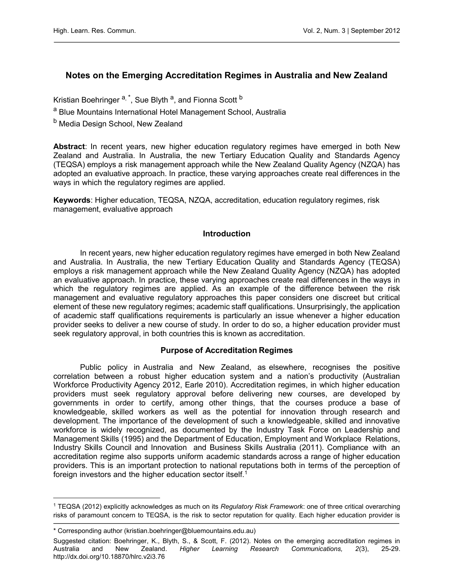# Notes on the Emerging Accreditation Regimes in Australia and New Zealand

Kristian Boehringer <sup>a, \*</sup>, Sue Blyth <sup>a</sup>, and Fionna Scott <sup>b</sup>

- <sup>a</sup> Blue Mountains International Hotel Management School, Australia
- <sup>b</sup> Media Design School, New Zealand

Abstract: In recent years, new higher education regulatory regimes have emerged in both New Zealand and Australia. In Australia, the new Tertiary Education Quality and Standards Agency (TEQSA) employs a risk management approach while the New Zealand Quality Agency (NZQA) has adopted an evaluative approach. In practice, these varying approaches create real differences in the ways in which the regulatory regimes are applied.

Keywords: Higher education, TEQSA, NZQA, accreditation, education regulatory regimes, risk management, evaluative approach

#### Introduction

In recent years, new higher education regulatory regimes have emerged in both New Zealand and Australia. In Australia, the new Tertiary Education Quality and Standards Agency (TEQSA) employs a risk management approach while the New Zealand Quality Agency (NZQA) has adopted an evaluative approach. In practice, these varying approaches create real differences in the ways in which the regulatory regimes are applied. As an example of the difference between the risk management and evaluative regulatory approaches this paper considers one discreet but critical element of these new regulatory regimes; academic staff qualifications. Unsurprisingly, the application of academic staff qualifications requirements is particularly an issue whenever a higher education provider seeks to deliver a new course of study. In order to do so, a higher education provider must seek regulatory approval, in both countries this is known as accreditation.

## Purpose of Accreditation Regimes

Public policy in Australia and New Zealand, as elsewhere, recognises the positive correlation between a robust higher education system and a nation's productivity (Australian Workforce Productivity Agency 2012, Earle 2010). Accreditation regimes, in which higher education providers must seek regulatory approval before delivering new courses, are developed by governments in order to certify, among other things, that the courses produce a base of knowledgeable, skilled workers as well as the potential for innovation through research and development. The importance of the development of such a knowledgeable, skilled and innovative workforce is widely recognized, as documented by the Industry Task Force on Leadership and Management Skills (1995) and the Department of Education, Employment and Workplace Relations, Industry Skills Council and Innovation and Business Skills Australia (2011). Compliance with an accreditation regime also supports uniform academic standards across a range of higher education providers. This is an important protection to national reputations both in terms of the perception of foreign investors and the higher education sector itself.<sup>1</sup>

l

<sup>&</sup>lt;sup>1</sup> TEQSA (2012) explicitly acknowledges as much on its Regulatory Risk Framework: one of three critical overarching risks of paramount concern to TEQSA, is the risk to sector reputation for quality. Each higher education provider is

<sup>\*</sup> Corresponding author (kristian.boehringer@bluemountains.edu.au)

Suggested citation: Boehringer, K., Blyth, S., & Scott, F. (2012). Notes on the emerging accreditation regimes in Australia and New Zealand. Higher Learning Research Communications, 2(3), 25-29. <http://dx.doi.org/10.18870/hlrc.v2i3.76>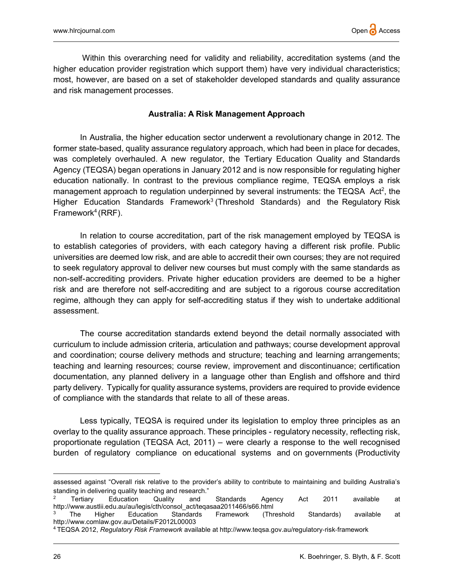Within this overarching need for validity and reliability, accreditation systems (and the higher education provider registration which support them) have very individual characteristics; most, however, are based on a set of stakeholder developed standards and quality assurance and risk management processes.

### Australia: A Risk Management Approach

In Australia, the higher education sector underwent a revolutionary change in 2012. The former state-based, quality assurance regulatory approach, which had been in place for decades, was completely overhauled. A new regulator, the Tertiary Education Quality and Standards Agency (TEQSA) began operations in January 2012 and is now responsible for regulating higher education nationally. In contrast to the previous compliance regime, TEQSA employs a risk management approach to regulation underpinned by several instruments: the TEQSA Act<sup>2</sup>, the Higher Education Standards Framework<sup>3</sup> (Threshold Standards) and the Regulatory Risk Framework<sup>4</sup> (RRF).

In relation to course accreditation, part of the risk management employed by TEQSA is to establish categories of providers, with each category having a different risk profile. Public universities are deemed low risk, and are able to accredit their own courses; they are not required to seek regulatory approval to deliver new courses but must comply with the same standards as non-self-accrediting providers. Private higher education providers are deemed to be a higher risk and are therefore not self-accrediting and are subject to a rigorous course accreditation regime, although they can apply for self-accrediting status if they wish to undertake additional assessment.

The course accreditation standards extend beyond the detail normally associated with curriculum to include admission criteria, articulation and pathways; course development approval and coordination; course delivery methods and structure; teaching and learning arrangements; teaching and learning resources; course review, improvement and discontinuance; certification documentation, any planned delivery in a language other than English and offshore and third party delivery. Typically for quality assurance systems, providers are required to provide evidence of compliance with the standards that relate to all of these areas.

Less typically, TEQSA is required under its legislation to employ three principles as an overlay to the quality assurance approach. These principles - regulatory necessity, reflecting risk, proportionate regulation (TEQSA Act, 2011) – were clearly a response to the well recognised burden of regulatory compliance on educational systems and on governments (Productivity

 $\overline{a}$ 

assessed against "Overall risk relative to the provider's ability to contribute to maintaining and building Australia's standing in delivering quality teaching and research."

 $\mathfrak{p}$  Tertiary Education Quality and Standards Agency Act 2011 available at http://www.austlii.edu.au/au/legis/cth/consol\_act/teqasaa2011466/s66.html

<sup>3</sup> The Higher Education Standards Framework (Threshold Standards) available at http://www.comlaw.gov.au/Details/F2012L00003

<sup>4</sup> TEQSA 2012, Regulatory Risk Framework available at http://www.teqsa.gov.au/regulatory‐risk‐framework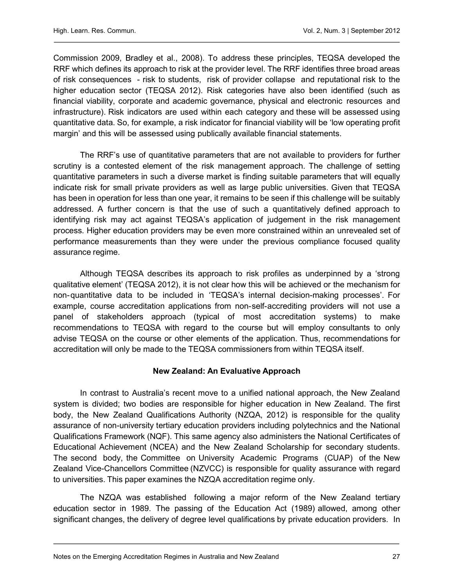Commission 2009, Bradley et al., 2008). To address these principles, TEQSA developed the RRF which defines its approach to risk at the provider level. The RRF identifies three broad areas of risk consequences - risk to students, risk of provider collapse and reputational risk to the higher education sector (TEQSA 2012). Risk categories have also been identified (such as financial viability, corporate and academic governance, physical and electronic resources and infrastructure). Risk indicators are used within each category and these will be assessed using quantitative data. So, for example, a risk indicator for financial viability will be 'low operating profit margin' and this will be assessed using publically available financial statements.

The RRF's use of quantitative parameters that are not available to providers for further scrutiny is a contested element of the risk management approach. The challenge of setting quantitative parameters in such a diverse market is finding suitable parameters that will equally indicate risk for small private providers as well as large public universities. Given that TEQSA has been in operation for less than one year, it remains to be seen if this challenge will be suitably addressed. A further concern is that the use of such a quantitatively defined approach to identifying risk may act against TEQSA's application of judgement in the risk management process. Higher education providers may be even more constrained within an unrevealed set of performance measurements than they were under the previous compliance focused quality assurance regime.

Although TEQSA describes its approach to risk profiles as underpinned by a 'strong qualitative element' (TEQSA 2012), it is not clear how this will be achieved or the mechanism for non-quantitative data to be included in 'TEQSA's internal decision-making processes'. For example, course accreditation applications from non-self-accrediting providers will not use a panel of stakeholders approach (typical of most accreditation systems) to make recommendations to TEQSA with regard to the course but will employ consultants to only advise TEQSA on the course or other elements of the application. Thus, recommendations for accreditation will only be made to the TEQSA commissioners from within TEQSA itself.

## New Zealand: An Evaluative Approach

In contrast to Australia's recent move to a unified national approach, the New Zealand system is divided; two bodies are responsible for higher education in New Zealand. The first body, the New Zealand Qualifications Authority (NZQA, 2012) is responsible for the quality assurance of non-university tertiary education providers including polytechnics and the National Qualifications Framework (NQF). This same agency also administers the National Certificates of Educational Achievement (NCEA) and the New Zealand Scholarship for secondary students. The second body, the Committee on University Academic Programs (CUAP) of the New Zealand Vice-Chancellors Committee (NZVCC) is responsible for quality assurance with regard to universities. This paper examines the NZQA accreditation regime only.

The NZQA was established following a major reform of the New Zealand tertiary education sector in 1989. The passing of the Education Act (1989) allowed, among other significant changes, the delivery of degree level qualifications by private education providers. In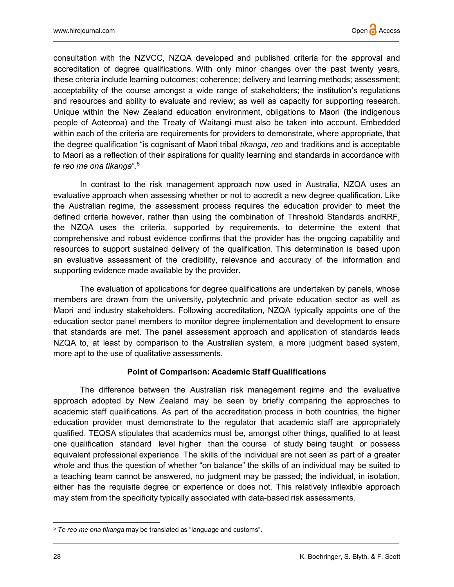consultation with the NZVCC, NZQA developed and published criteria for the approval and accreditation of degree qualifications. With only minor changes over the past twenty years, these criteria include learning outcomes; coherence; delivery and learning methods; assessment; acceptability of the course amongst a wide range of stakeholders; the institution's regulations and resources and ability to evaluate and review; as well as capacity for supporting research. Unique within the New Zealand education environment, obligations to Maori (the indigenous people of Aoteoroa) and the Treaty of Waitangi must also be taken into account. Embedded within each of the criteria are requirements for providers to demonstrate, where appropriate, that the degree qualification "is cognisant of Maori tribal tikanga, reo and traditions and is acceptable to Maori as a reflection of their aspirations for quality learning and standards in accordance with te reo me ona tikanga".<sup>5</sup>

In contrast to the risk management approach now used in Australia, NZQA uses an evaluative approach when assessing whether or not to accredit a new degree qualification. Like the Australian regime, the assessment process requires the education provider to meet the defined criteria however, rather than using the combination of Threshold Standards andRRF, the NZQA uses the criteria, supported by requirements, to determine the extent that comprehensive and robust evidence confirms that the provider has the ongoing capability and resources to support sustained delivery of the qualification. This determination is based upon an evaluative assessment of the credibility, relevance and accuracy of the information and supporting evidence made available by the provider.

The evaluation of applications for degree qualifications are undertaken by panels, whose members are drawn from the university, polytechnic and private education sector as well as Maori and industry stakeholders. Following accreditation, NZQA typically appoints one of the education sector panel members to monitor degree implementation and development to ensure that standards are met. The panel assessment approach and application of standards leads NZQA to, at least by comparison to the Australian system, a more judgment based system, more apt to the use of qualitative assessments.

#### Point of Comparison: Academic Staff Qualifications

The difference between the Australian risk management regime and the evaluative approach adopted by New Zealand may be seen by briefly comparing the approaches to academic staff qualifications. As part of the accreditation process in both countries, the higher education provider must demonstrate to the regulator that academic staff are appropriately qualified. TEQSA stipulates that academics must be, amongst other things, qualified to at least one qualification standard level higher than the course of study being taught or possess equivalent professional experience. The skills of the individual are not seen as part of a greater whole and thus the question of whether "on balance" the skills of an individual may be suited to a teaching team cannot be answered, no judgment may be passed; the individual, in isolation, either has the requisite degree or experience or does not. This relatively inflexible approach may stem from the specificity typically associated with data-based risk assessments.

 $\overline{a}$ 

 $5$  Te reo me ona tikanga may be translated as "language and customs".